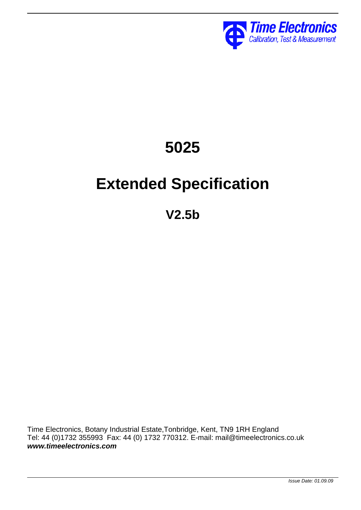

# **5025**

# **Extended Specification**

**V2.5b**

Time Electronics, Botany Industrial Estate,Tonbridge, Kent, TN9 1RH England Tel: 44 (0)1732 355993 Fax: 44 (0) 1732 770312. E-mail: mail@timeelectronics.co.uk *www.timeelectronics.com*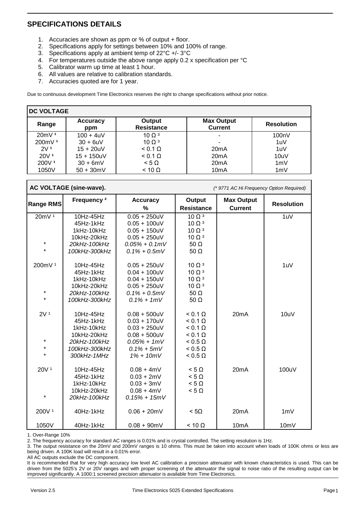#### **SPECIFICATIONS DETAILS**

- 1. Accuracies are shown as ppm or % of output + floor.
- 2. Specifications apply for settings between 10% and 100% of range.<br>3. Specifications apply at ambient temp of  $22^{\circ}C$  +/-  $3^{\circ}C$
- Specifications apply at ambient temp of 22°C +/- 3°C
- 4. For temperatures outside the above range apply 0.2 x specification per °C
- 5. Calibrator warm up time at least 1 hour.
- 6. All values are relative to calibration standards.
- 7. Accuracies quoted are for 1 year.

Due to continuous development Time Electronics reserves the right to change specifications without prior notice.

| <b>DC VOLTAGE</b>  |                        |                             |                                     |                   |
|--------------------|------------------------|-----------------------------|-------------------------------------|-------------------|
| Range              | <b>Accuracy</b><br>ppm | Output<br><b>Resistance</b> | <b>Max Output</b><br><b>Current</b> | <b>Resolution</b> |
| 20mV <sup>1</sup>  | $100 + 4uV$            | 100 <sup>3</sup>            | ٠                                   | 100nV             |
| 200mV <sup>1</sup> | $30 + 6uV$             | 100 <sup>3</sup>            | -                                   | 1uV               |
| 2V <sub>1</sub>    | $15 + 20uV$            | $< 0.1 \Omega$              | 20mA                                | 1uV               |
| 20V <sup>1</sup>   | $15 + 150uV$           | $< 0.1 \Omega$              | 20mA                                | 10uV              |
| 200V <sup>1</sup>  | $30 + 6mV$             | $< 5 \Omega$                | 20 <sub>m</sub> A                   | 1mV               |
| 1050V              | $50 + 30$ mV           | $< 10 \Omega$               | 10 <sub>m</sub> A                   | 1mV               |

#### **AC VOLTAGE (sine-wave).** *(\* 9771 AC Hi Frequency Option Required)*

| <b>Range RMS</b>   | Frequency <sup>2</sup> | <b>Accuracy</b><br>% | Output<br><b>Resistance</b> | <b>Max Output</b><br><b>Current</b> | <b>Resolution</b> |
|--------------------|------------------------|----------------------|-----------------------------|-------------------------------------|-------------------|
| 20mV <sup>1</sup>  | 10Hz-45Hz              | $0.05 + 250$ uV      | $10 \Omega$ <sup>3</sup>    |                                     | 1uV               |
|                    | 45Hz-1kHz              | $0.05 + 100$ uV      | $10 \Omega$ <sup>3</sup>    |                                     |                   |
|                    | 1kHz-10kHz             | $0.05 + 150$ uV      | $10 \Omega$ <sup>3</sup>    |                                     |                   |
|                    | 10kHz-20kHz            | $0.05 + 250$ uV      | $10 \Omega$ <sup>3</sup>    |                                     |                   |
| $\star$            | 20kHz-100kHz           |                      |                             |                                     |                   |
| $\star$            |                        | $0.05\% + 0.1mV$     | 50 $\Omega$                 |                                     |                   |
|                    | 100kHz-300kHz          | $0.1\% + 0.5mV$      | 50 $\Omega$                 |                                     |                   |
| 200mV <sup>1</sup> | 10Hz-45Hz              | $0.05 + 250$ uV      | $10 \Omega$ <sup>3</sup>    |                                     | 1uV               |
|                    | 45Hz-1kHz              | $0.04 + 100$ uV      | $10 \Omega$ <sup>3</sup>    |                                     |                   |
|                    | 1kHz-10kHz             | $0.04 + 150$ uV      | $10 \Omega$ <sup>3</sup>    |                                     |                   |
|                    | 10kHz-20kHz            | $0.05 + 250$ uV      | $10 \Omega$ <sup>3</sup>    |                                     |                   |
| $\star$            | 20kHz-100kHz           | $0.1\% + 0.5mV$      | $50 \Omega$                 |                                     |                   |
| $\star$            | 100kHz-300kHz          | $0.1\% + 1mV$        | $50 \Omega$                 |                                     |                   |
| 2V <sup>1</sup>    | 10Hz-45Hz              | $0.08 + 500$ uV      | $< 0.1 \Omega$              | 20mA                                | 10uV              |
|                    | 45Hz-1kHz              | $0.03 + 170$ uV      | $< 0.1 \Omega$              |                                     |                   |
|                    | 1kHz-10kHz             | $0.03 + 250$ uV      | $< 0.1 \Omega$              |                                     |                   |
|                    | 10kHz-20kHz            | $0.08 + 500$ uV      | $< 0.1 \Omega$              |                                     |                   |
| $\star$            |                        |                      |                             |                                     |                   |
| $\star$            | 20kHz-100kHz           | $0.05\% + 1mV$       | $< 0.5 \Omega$              |                                     |                   |
| $\star$            | 100kHz-300kHz          | $0.1\% + 5mV$        | $< 0.5 \Omega$              |                                     |                   |
|                    | 300kHz-1MHz            | $1\% + 10mV$         | $< 0.5 \Omega$              |                                     |                   |
| 20V <sup>1</sup>   | 10Hz-45Hz              | $0.08 + 4mV$         | $< 5 \Omega$                | 20mA                                | 100uV             |
|                    | 45Hz-1kHz              | $0.03 + 2mV$         | $< 5 \Omega$                |                                     |                   |
|                    | 1kHz-10kHz             | $0.03 + 3mV$         | $< 5 \Omega$                |                                     |                   |
|                    | 10kHz-20kHz            | $0.08 + 4mV$         | $< 5 \Omega$                |                                     |                   |
| $\star$            | 20kHz-100kHz           | $0.15% + 15mV$       |                             |                                     |                   |
| 200V <sup>1</sup>  | 40Hz-1kHz              | $0.06 + 20mV$        | < 50                        | 20mA                                | 1mV               |
| 1050V              | 40Hz-1kHz              | $0.08 + 90mV$        | $< 10 \Omega$               | 10 <sub>m</sub> A                   | 10mV              |

1. Over-Range 10%

2. The frequency accuracy for standard AC ranges is 0.01% and is crystal controlled. The setting resolution is 1Hz.

3. The output resistance on the 20mV and 200mV ranges is 10 ohms. This must be taken into account when loads of 100K ohms or less are being driven. A 100K load will result in a 0.01% error.

All AC outputs exclude the DC component.

It is recommended that for very high accuracy low level AC calibration a precision attenuator with known characteristics is used. This can be driven from the 5025's 2V or 20V ranges and with proper screening of the attenuator the signal to noise ratio of the resulting output can be improved significantly. A 1000:1 screened precision attenuator is available from Time Electronics.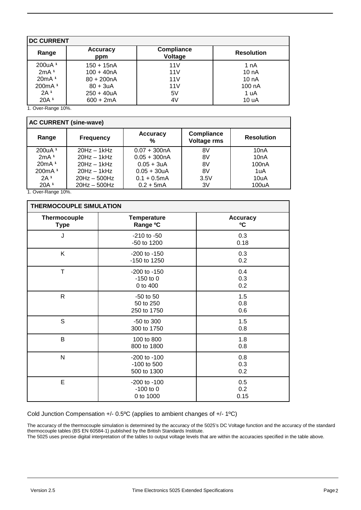| <b>DC CURRENT</b>  |                        |                              |                   |  |
|--------------------|------------------------|------------------------------|-------------------|--|
| Range              | <b>Accuracy</b><br>ppm | <b>Compliance</b><br>Voltage | <b>Resolution</b> |  |
| 200uA <sup>1</sup> | $150 + 15nA$           | 11V                          | 1 nA              |  |
| 2mA <sup>1</sup>   | $100 + 40nA$           | 11V                          | 10nA              |  |
| 20mA <sup>1</sup>  | $80 + 200nA$           | 11V                          | 10nA              |  |
| 200mA <sup>1</sup> | $80 + 3uA$             | 11V                          | 100 nA            |  |
| 2A <sup>1</sup>    | $250 + 40 uA$          | 5V                           | 1 uA              |  |
| 20A <sup>1</sup>   | $600 + 2mA$            | 4V                           | 10 uA             |  |

1. Over-Range 10%.

| <b>AC CURRENT (sine-wave)</b> |                  |                      |                                         |                    |
|-------------------------------|------------------|----------------------|-----------------------------------------|--------------------|
| Range                         | <b>Frequency</b> | <b>Accuracy</b><br>% | <b>Compliance</b><br><b>Voltage rms</b> | <b>Resolution</b>  |
| 200uA <sup>1</sup>            | $20Hz - 1kHz$    | $0.07 + 300nA$       | 8V                                      | 10nA               |
| 2mA <sup>1</sup>              | $20Hz - 1kHz$    | $0.05 + 300nA$       | 8V                                      | 10nA               |
| 20mA <sup>1</sup>             | $20Hz - 1kHz$    | $0.05 + 3uA$         | 8V                                      | 100 <sub>n</sub> A |
| 200mA <sup>1</sup>            | $20Hz - 1kHz$    | $0.05 + 30uA$        | 8V                                      | 1uA                |
| 2A 1                          | $20Hz - 500Hz$   | $0.1 + 0.5$ mA       | 3.5V                                    | 10uA               |
| 20A <sup>1</sup>              | $20Hz - 500Hz$   | $0.2 + 5mA$          | 3V                                      | 100uA              |

1. Over-Range 10%.

| THERMOCOUPLE SIMULATION     |                                              |                       |  |  |
|-----------------------------|----------------------------------------------|-----------------------|--|--|
| Thermocouple<br><b>Type</b> | <b>Temperature</b><br>Range °C               | <b>Accuracy</b><br>°C |  |  |
| J                           | $-210$ to $-50$<br>-50 to 1200               | 0.3<br>0.18           |  |  |
| K                           | -200 to -150<br>-150 to 1250                 | 0.3<br>0.2            |  |  |
| T.                          | $-200$ to $-150$<br>$-150$ to 0<br>0 to 400  | 0.4<br>0.3<br>0.2     |  |  |
| $\mathsf{R}$                | $-50$ to $50$<br>50 to 250<br>250 to 1750    | 1.5<br>0.8<br>0.6     |  |  |
| S                           | -50 to 300<br>300 to 1750                    | 1.5<br>0.8            |  |  |
| B                           | 100 to 800<br>800 to 1800                    | 1.8<br>0.8            |  |  |
| N                           | -200 to -100<br>-100 to 500<br>500 to 1300   | 0.8<br>0.3<br>0.2     |  |  |
| E                           | $-200$ to $-100$<br>$-100$ to 0<br>0 to 1000 | 0.5<br>0.2<br>0.15    |  |  |

Cold Junction Compensation +/- 0.5ºC (applies to ambient changes of +/- 1ºC)

The accuracy of the thermocouple simulation is determined by the accuracy of the 5025's DC Voltage function and the accuracy of the standard thermocouple tables (BS EN 60584-1) published by the British Standards Institute.

The 5025 uses precise digital interpretation of the tables to output voltage levels that are within the accuracies specified in the table above.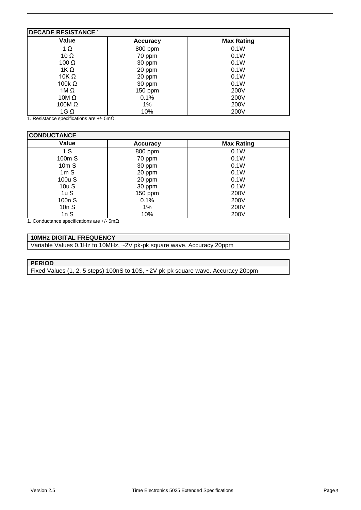| <b>DECADE RESISTANCE 1</b> |                 |                   |  |
|----------------------------|-----------------|-------------------|--|
| Value                      | <b>Accuracy</b> | <b>Max Rating</b> |  |
| $1 \Omega$                 | 800 ppm         | 0.1W              |  |
| 10 $\Omega$                | 70 ppm          | 0.1W              |  |
| 100 $\Omega$               | 30 ppm          | 0.1W              |  |
| 1K $\Omega$                | 20 ppm          | 0.1W              |  |
| 10K $\Omega$               | 20 ppm          | 0.1W              |  |
| 100 $k \Omega$             | 30 ppm          | 0.1W              |  |
| 1M $\Omega$                | 150 ppm         | 200V              |  |
| 10M $\Omega$               | 0.1%            | 200V              |  |
| 100M $\Omega$              | 1%              | 200V              |  |
| $1G\Omega$                 | 10%             | 200V              |  |

1. Resistance specifications are +/- 5mΩ.

| <b>CONDUCTANCE</b> |                 |                   |  |
|--------------------|-----------------|-------------------|--|
| Value              | <b>Accuracy</b> | <b>Max Rating</b> |  |
| 1 S                | 800 ppm         | 0.1W              |  |
| 100m S             | 70 ppm          | 0.1W              |  |
| 10mS               | 30 ppm          | 0.1W              |  |
| 1mS                | 20 ppm          | 0.1W              |  |
| 100u S             | 20 ppm          | 0.1W              |  |
| 10uS               | 30 ppm          | 0.1W              |  |
| 1uS                | 150 ppm         | 200V              |  |
| 100 <sub>n</sub> S | 0.1%            | 200V              |  |
| 10nS               | 1%              | 200V              |  |
| 1 $nS$             | 10%             | 200V              |  |

1. Conductance specifications are +/- 5mΩ

#### **10MHz DIGITAL FREQUENCY**

Variable Values 0.1Hz to 10MHz, ~2V pk-pk square wave. Accuracy 20ppm

#### **PERIOD**

Fixed Values (1, 2, 5 steps) 100nS to 10S, ~2V pk-pk square wave. Accuracy 20ppm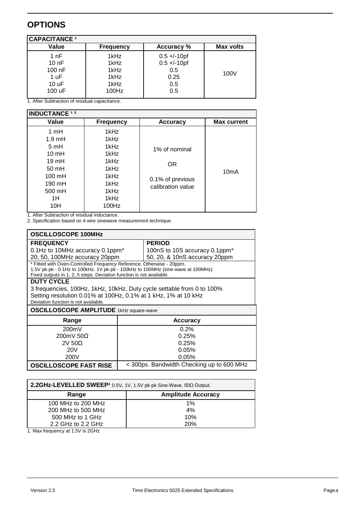### **OPTIONS**

| CAPACITANCE <sup>1</sup> |                  |                   |           |
|--------------------------|------------------|-------------------|-----------|
| Value                    | <b>Frequency</b> | <b>Accuracy %</b> | Max volts |
| 1 nF                     | 1kHz             | $0.5 + (-10)$     |           |
| 10nF                     | 1kHz             | $0.5 + (-10)$     |           |
| 100 nF                   | 1kHz             | 0.5               | 100V      |
| 1 uF                     | 1kHz             | 0.25              |           |
| 10 uF                    | 1kHz             | 0.5               |           |
| 100 uF                   | 100Hz            | 0.5               |           |
|                          |                  |                   |           |

1. After Subtraction of residual capacitance.

| <b>INDUCTANCE 12</b>                                                                                                                         |                                                                                       |                                                               |                    |
|----------------------------------------------------------------------------------------------------------------------------------------------|---------------------------------------------------------------------------------------|---------------------------------------------------------------|--------------------|
| Value                                                                                                                                        | <b>Frequency</b>                                                                      | <b>Accuracy</b>                                               | <b>Max current</b> |
| 1mH<br>$1.9 \text{ mH}$<br>5mH<br>$10 \text{ mH}$<br>$19 \text{ mH}$<br>$50 \text{ mH}$<br>$100 \text{ mH}$<br>190 mH<br>500 mH<br>1H<br>10H | 1kHz<br>1kHz<br>1kHz<br>1kHz<br>1kHz<br>1kHz<br>1kHz<br>1kHz<br>1kHz<br>1kHz<br>100Hz | 1% of nominal<br>OR.<br>0.1% of previous<br>calibration value | 10 <sub>m</sub> A  |

1. After Subtraction of residual inductance.

2. Specification based on 4 wire sinewave measurement technique.

| <b>OSCILLOSCOPE 100MHz</b>                                            |                                                                                 |  |  |
|-----------------------------------------------------------------------|---------------------------------------------------------------------------------|--|--|
| <b>FREQUENCY</b>                                                      | <b>PERIOD</b>                                                                   |  |  |
| 0.1Hz to 10MHz accuracy 0.1ppm*                                       | 100nS to 10S accuracy 0.1ppm <sup>*</sup>                                       |  |  |
| 20, 50, 100MHz accuracy 20ppm                                         | 50, 20, & 10nS accuracy 20ppm                                                   |  |  |
| * Fitted with Oven-Controlled Frequency Reference. Otherwise - 20ppm. | 1.5V pk-pk - 0.1Hz to 100kHz. 1V pk-pk - 100kHz to 100MHz (sine-wave at 100MHz) |  |  |
| Fixed outputs in 1, 2, 5 steps. Deviation function is not available.  |                                                                                 |  |  |
| <b>DUTY CYCLE</b>                                                     |                                                                                 |  |  |
|                                                                       | 3 frequencies, 100Hz, 1kHz, 10kHz. Duty cycle settable from 0 to 100%           |  |  |
| Setting resolution 0.01% at 100Hz, 0.1% at 1 kHz, 1% at 10 kHz        |                                                                                 |  |  |
| Deviation function is not available.                                  |                                                                                 |  |  |
| <b>OSCILLOSCOPE AMPLITUDE</b> 1kHz square-wave                        |                                                                                 |  |  |
| Range                                                                 | <b>Accuracy</b>                                                                 |  |  |
| 200mV                                                                 | 0.2%                                                                            |  |  |
| 200mV 50Ω                                                             | 0.25%                                                                           |  |  |
| $2V$ 50 $\Omega$                                                      | 0.25%                                                                           |  |  |
| 20V                                                                   | 0.05%                                                                           |  |  |
| 200V<br>0.05%                                                         |                                                                                 |  |  |
| <b>OSCILLOSCOPE FAST RISE</b>                                         | < 300ps. Bandwidth Checking up to 600 MHz                                       |  |  |

| 2.2GHz-LEVELLED SWEEP <sup>1</sup> 0.5V, 1V, 1.5V pk-pk Sine-Wave, 50 $\Omega$ Output. |       |  |
|----------------------------------------------------------------------------------------|-------|--|
| <b>Amplitude Accuracy</b><br>Range                                                     |       |  |
| 100 MHz to 200 MHz                                                                     | $1\%$ |  |
| 200 MHz to 500 MHz                                                                     | 4%    |  |
| 500 MHz to 1 GHz                                                                       | 10%   |  |
| 2.2 GHz to 2.2 GHz                                                                     | 20%   |  |

1. Max frequency at 1.5V is 2GHz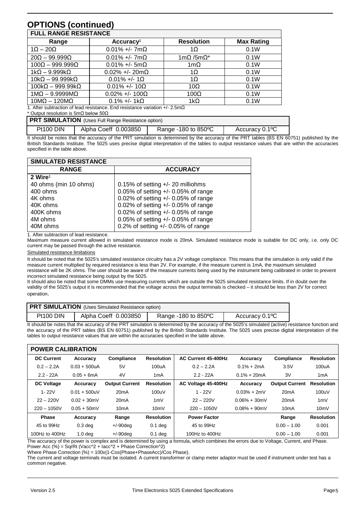## **OPTIONS (continued)**

| <b>FULL RANGE RESISTANCE</b>                                                          |                        |                       |                   |  |
|---------------------------------------------------------------------------------------|------------------------|-----------------------|-------------------|--|
| Range                                                                                 | Accuracy <sup>1</sup>  | <b>Resolution</b>     | <b>Max Rating</b> |  |
| $1\Omega - 20\Omega$                                                                  | $0.01\% +/- 7m\Omega$  | 1 $\Omega$            | 0.1W              |  |
| $20\Omega - 99.999\Omega$                                                             | $0.01\% +/- 7m\Omega$  | $1m\Omega/5m\Omega^*$ | 0.1W              |  |
| $100\Omega - 999.999\Omega$                                                           | $0.01\% +/- 5m\Omega$  | 1m $\Omega$           | 0.1W              |  |
| $1k\Omega - 9.999k\Omega$                                                             | $0.02\% +/- 20m\Omega$ | 1 $\Omega$            | 0.1W              |  |
| $10k\Omega - 99.999k\Omega$                                                           | $0.01\% +/- 1\Omega$   | $1\Omega$             | 0.1W              |  |
| $100k\Omega - 999.99k\Omega$                                                          | $0.01\% +/- 10\Omega$  | $10\Omega$            | 0.1W              |  |
| $1M\Omega - 9.9999M\Omega$                                                            | $0.02\% +/- 100\Omega$ | $100\Omega$           | 0.1W              |  |
| 10ΜΩ – 120ΜΩ                                                                          | $0.1\% +/- 1k\Omega$   | $1k\Omega$            | 0.1W              |  |
| 1. After subtraction of lead resistance. End resistance variation $+/-2.5$ m $\Omega$ |                        |                       |                   |  |

\* Output resolution is 5mΩ below 50Ω

| <b>PRT SIMULATION</b> (Uses Full Range Resistance option) |                      |                               |                |  |
|-----------------------------------------------------------|----------------------|-------------------------------|----------------|--|
| Pt100 DIN                                                 | Alpha Coeff 0.003850 | Range -180 to $850^{\circ}$ C | Accuracy 0.1°C |  |

It should be notes that the accuracy of the PRT simulation is determined by the accuracy of the PRT tables (BS EN 60751) published by the British Standards Institute. The 5025 uses precise digital interpretation of the tables to output resistance values that are within the accuracies specified in the table above.

| <b>SIMULATED RESISTANCE</b> |                                       |
|-----------------------------|---------------------------------------|
| <b>RANGE</b>                | <b>ACCURACY</b>                       |
| $2$ Wire <sup>1</sup>       |                                       |
| 40 ohms (min 10 ohms)       | 0.15% of setting $+/- 20$ milliohms   |
| 400 ohms                    | 0.05% of setting $+/-$ 0.05% of range |
| 4K ohms                     | 0.02% of setting +/- 0.05% of range   |
| 40K ohms                    | 0.02% of setting +/- 0.05% of range   |
| 400K ohms                   | 0.02% of setting +/- 0.05% of range   |
| 4M ohms                     | 0.05% of setting $+/-$ 0.05% of range |
| 40M ohms                    | 0.2% of setting $+/-$ 0.05% of range  |

1. After subtraction of lead resistance.

Maximum measure current allowed in simulated resistance mode is 20mA. Simulated resistance mode is suitable for DC only, i.e. only DC current may be passed through the active resistance.

Simulated resistance limitations

It should be noted that the 5025's simulated resistance circuitry has a 2V voltage compliance. This means that the simulation is only valid if the measure current multiplied by required resistance is less than 2V. For example, if the measure current is 1mA, the maximum simulated resistance will be 2K ohms. The user should be aware of the measure currents being used by the instrument being calibrated in order to prevent incorrect simulated resistance being output by the 5025.

It should also be noted that some DMMs use measuring currents which are outside the 5025 simulated resistance limits. If in doubt over the validity of the 5025's output it is recommended that the voltage across the output terminals is checked – it should be less than 2V for correct operation.

| <b>PRT SIMULATION</b> (Uses Simulated Resistance option) |                      |                     |                             |  |
|----------------------------------------------------------|----------------------|---------------------|-----------------------------|--|
| Pt100 DIN                                                | Alpha Coeff 0.003850 | Range -180 to 850°C | Accuracy 0.1 <sup>o</sup> C |  |

It should be notes that the accuracy of the PRT simulation is determined by the accuracy of the 5025's simulated (active) resistance function and the accuracy of the PRT tables (BS EN 60751) published by the British Standards Institute. The 5025 uses precise digital interpretation of the tables to output resistance values that are within the accuracies specified in the table above.

| <b>POWER CALIBRATION</b> |                    |                       |                   |                     |                 |                       |                   |
|--------------------------|--------------------|-----------------------|-------------------|---------------------|-----------------|-----------------------|-------------------|
| <b>DC Current</b>        | Accuracy           | Compliance            | <b>Resolution</b> | AC Current 45-400Hz | Accuracy        | Compliance            | <b>Resolution</b> |
| $0.2 - 2.2A$             | $0.03 + 500uA$     | 5V                    | 100uA             | $0.2 - 2.2A$        | $0.1% + 2mA$    | 3.5V                  | 100uA             |
| $2.2 - 22A$              | $0.05 + 6$ mA      | 4V                    | 1 <sub>m</sub> A  | $2.2 - 22A$         | $0.1\% + 20mA$  | 3V                    | 1 <sub>m</sub> A  |
| <b>DC Voltage</b>        | Accuracy           | <b>Output Current</b> | <b>Resolution</b> | AC Voltage 45-400Hz | Accuracy        | <b>Output Current</b> | <b>Resolution</b> |
| $1 - 22V$                | $0.01 + 500$ uV    | 20 <sub>m</sub> A     | 100uV             | $1 - 22V$           | $0.03% + 2mV$   | 20 <sub>m</sub> A     | 100uV             |
| $22 - 220V$              | $0.02 + 30$ mV     | 20 <sub>m</sub> A     | 1mV               | $22 - 220V$         | $0.06\% + 30mV$ | 20 <sub>m</sub> A     | 1mV               |
| $220 - 1050V$            | $0.05 + 50$ mV     | 10 <sub>m</sub> A     | 10mV              | $220 - 1050V$       | $0.08\% + 90mV$ | 10 <sub>m</sub> A     | 10mV              |
| <b>Phase</b>             | Accuracy           | Range                 | <b>Resolution</b> | <b>Power Factor</b> |                 | Range                 | <b>Resolution</b> |
| 45 to 99Hz               | $0.3$ deg          | $+/-90$ deg           | $0.1$ deg         | 45 to 99Hz          |                 | $0.00 - 1.00$         | 0.001             |
| 100Hz to $400$ Hz        | 1.0 <sub>deq</sub> | $+/-90$ dea           | $0.1$ deg         | 100Hz to $400$ Hz   |                 | $0.00 - 1.00$         | 0.001             |

The accuracy of the power is complex and is determined by using a formula, which combines the errors due to Voltage, Current, and Phase. Power Acc (%) = SqrRt (Vacc^2 + Iacc^2 + Phase Correction^2)

Where Phase Correction (%) = 100x(1-Cos(Phase+PhaseAcc)/Cos Phase).

The current and voltage terminals must be isolated. A current transformer or clamp meter adaptor must be used if instrument under test has a common negative.